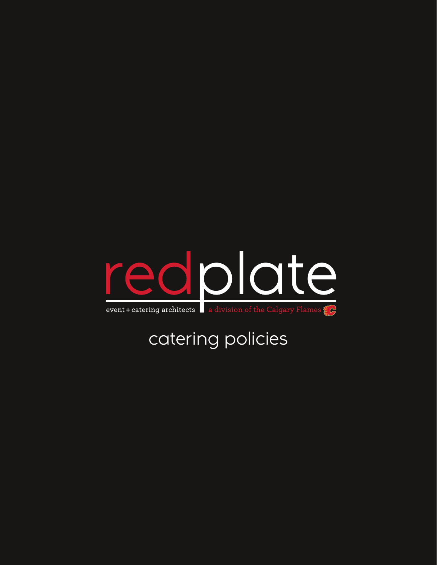

## catering policies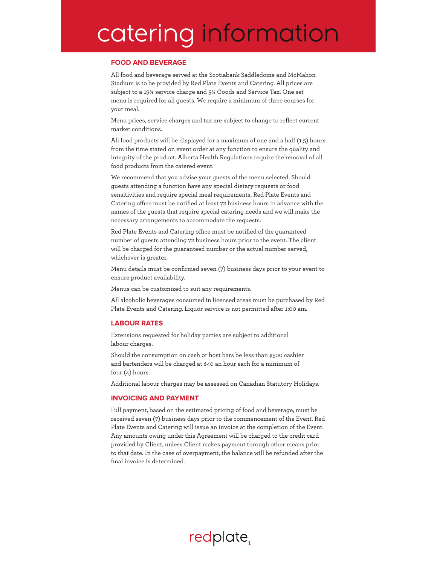## catering information

#### **FOOD AND BEVERAGE**

All food and beverage served at the Scotiabank Saddledome and McMahon Stadium is to be provided by Red Plate Events and Catering. All prices are subject to a 19% service charge and 5% Goods and Service Tax. One set menu is required for all guests. We require a minimum of three courses for your meal.

Menu prices, service charges and tax are subject to change to reflect current market conditions.

All food products will be displayed for a maximum of one and a half (1.5) hours from the time stated on event order at any function to ensure the quality and integrity of the product. Alberta Health Regulations require the removal of all food products from the catered event.

We recommend that you advise your guests of the menu selected. Should guests attending a function have any special dietary requests or food sensitivities and require special meal requirements, Red Plate Events and Catering office must be notified at least 72 business hours in advance with the names of the guests that require special catering needs and we will make the necessary arrangements to accommodate the requests.

Red Plate Events and Catering office must be notified of the guaranteed number of guests attending 72 business hours prior to the event. The client will be charged for the guaranteed number or the actual number served, whichever is greater.

Menu details must be confirmed seven (7) business days prior to your event to ensure product availability.

Menus can be customized to suit any requirements.

All alcoholic beverages consumed in licensed areas must be purchased by Red Plate Events and Catering. Liquor service is not permitted after 1:00 am.

#### **LABOUR RATES**

Extensions requested for holiday parties are subject to additional labour charges.

Should the consumption on cash or host bars be less than \$500 cashier and bartenders will be charged at \$40 an hour each for a minimum of four (4) hours.

Additional labour charges may be assessed on Canadian Statutory Holidays.

#### **INVOICING AND PAYMENT**

Full payment, based on the estimated pricing of food and beverage, must be received seven (7) business days prior to the commencement of the Event. Red Plate Events and Catering will issue an invoice at the completion of the Event. Any amounts owing under this Agreement will be charged to the credit card provided by Client, unless Client makes payment through other means prior to that date. In the case of overpayment, the balance will be refunded after the final invoice is determined.

### redplate,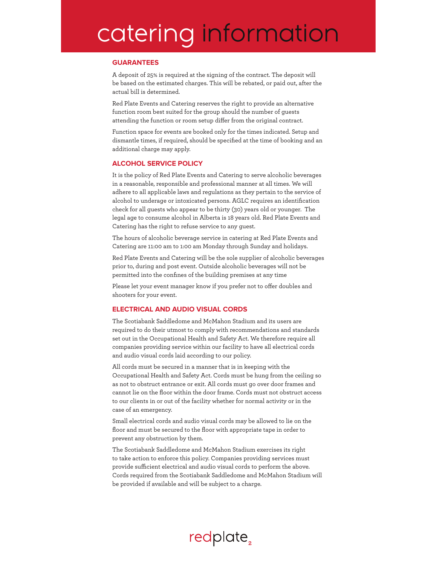# catering information

#### **GUARANTEES**

A deposit of 25% is required at the signing of the contract. The deposit will be based on the estimated charges. This will be rebated, or paid out, after the actual bill is determined.

Red Plate Events and Catering reserves the right to provide an alternative function room best suited for the group should the number of guests attending the function or room setup differ from the original contract.

Function space for events are booked only for the times indicated. Setup and dismantle times, if required, should be specified at the time of booking and an additional charge may apply.

#### **ALCOHOL SERVICE POLICY**

It is the policy of Red Plate Events and Catering to serve alcoholic beverages in a reasonable, responsible and professional manner at all times. We will adhere to all applicable laws and regulations as they pertain to the service of alcohol to underage or intoxicated persons. AGLC requires an identification check for all guests who appear to be thirty (30) years old or younger. The legal age to consume alcohol in Alberta is 18 years old. Red Plate Events and Catering has the right to refuse service to any guest.

The hours of alcoholic beverage service in catering at Red Plate Events and Catering are 11:00 am to 1:00 am Monday through Sunday and holidays.

Red Plate Events and Catering will be the sole supplier of alcoholic beverages prior to, during and post event. Outside alcoholic beverages will not be permitted into the confines of the building premises at any time

Please let your event manager know if you prefer not to offer doubles and shooters for your event.

#### **ELECTRICAL AND AUDIO VISUAL CORDS**

The Scotiabank Saddledome and McMahon Stadium and its users are required to do their utmost to comply with recommendations and standards set out in the Occupational Health and Safety Act. We therefore require all companies providing service within our facility to have all electrical cords and audio visual cords laid according to our policy.

All cords must be secured in a manner that is in keeping with the Occupational Health and Safety Act. Cords must be hung from the ceiling so as not to obstruct entrance or exit. All cords must go over door frames and cannot lie on the floor within the door frame. Cords must not obstruct access to our clients in or out of the facility whether for normal activity or in the case of an emergency.

Small electrical cords and audio visual cords may be allowed to lie on the floor and must be secured to the floor with appropriate tape in order to prevent any obstruction by them.

The Scotiabank Saddledome and McMahon Stadium exercises its right to take action to enforce this policy. Companies providing services must provide sufficient electrical and audio visual cords to perform the above. Cords required from the Scotiabank Saddledome and McMahon Stadium will be provided if available and will be subject to a charge.

### redplate<sub>,</sub>